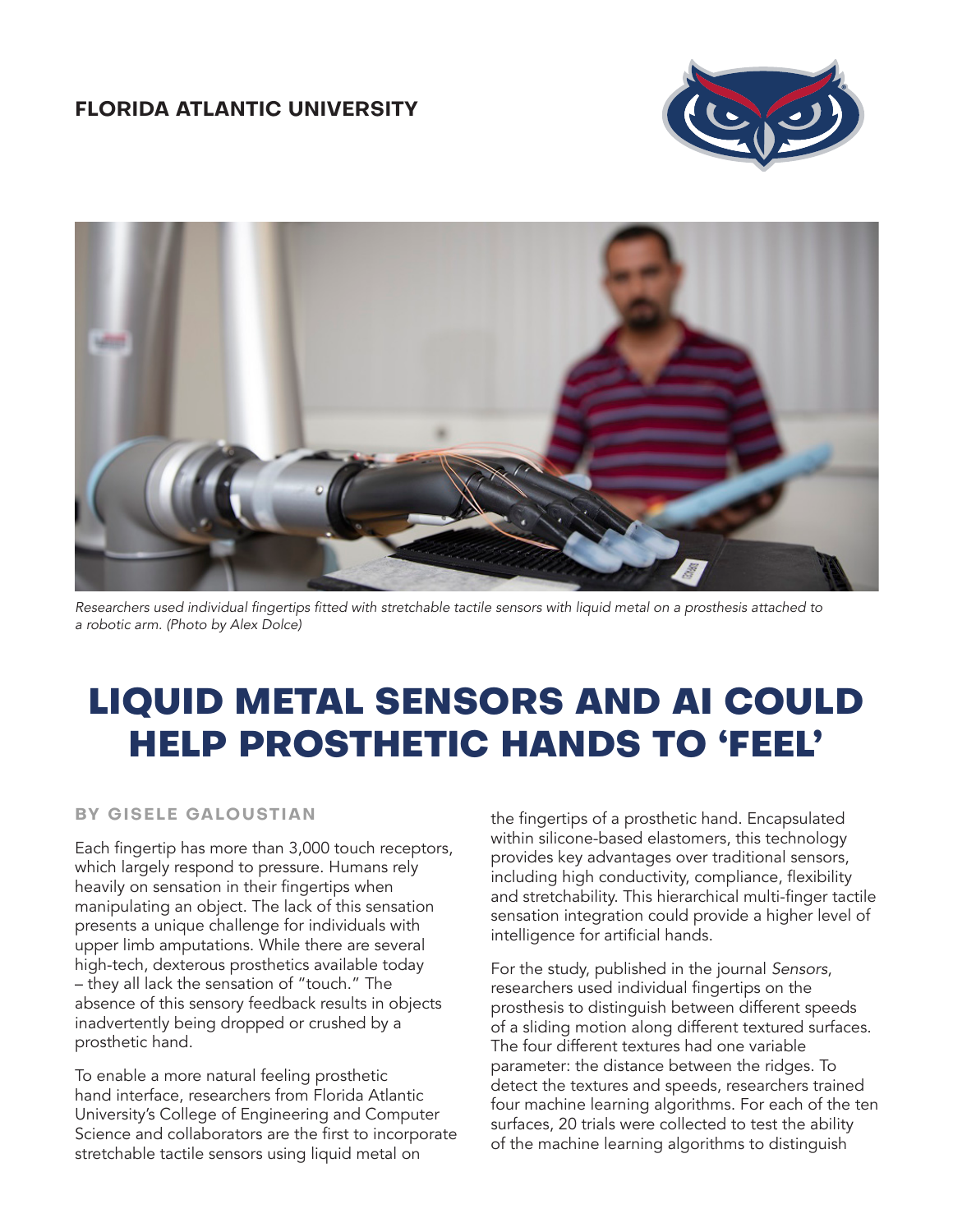## **FLORIDA ATLANTIC UNIVERSITY**





Researchers used individual fingertips fitted with stretchable tactile sensors with liquid metal on a prosthesis attached to a robotic arm. (Photo by Alex Dolce)

## **LIQUID METAL SENSORS AND AI COULD HELP PROSTHETIC HANDS TO 'FEEL'**

## **BY GISELE GALOUSTIAN**

Each fingertip has more than 3,000 touch receptors, which largely respond to pressure. Humans rely heavily on sensation in their fingertips when manipulating an object. The lack of this sensation presents a unique challenge for individuals with upper limb amputations. While there are several high-tech, dexterous prosthetics available today – they all lack the sensation of "touch." The absence of this sensory feedback results in objects inadvertently being dropped or crushed by a prosthetic hand.

To enable a more natural feeling prosthetic hand interface, researchers from Florida Atlantic University's College of Engineering and Computer Science and collaborators are the first to incorporate stretchable tactile sensors using liquid metal on

the fingertips of a prosthetic hand. Encapsulated within silicone-based elastomers, this technology provides key advantages over traditional sensors, including high conductivity, compliance, flexibility and stretchability. This hierarchical multi-finger tactile sensation integration could provide a higher level of intelligence for artificial hands.

For the study, published in the journal *Sensors*, researchers used individual fingertips on the prosthesis to distinguish between different speeds of a sliding motion along different textured surfaces. The four different textures had one variable parameter: the distance between the ridges. To detect the textures and speeds, researchers trained four machine learning algorithms. For each of the ten surfaces, 20 trials were collected to test the ability of the machine learning algorithms to distinguish